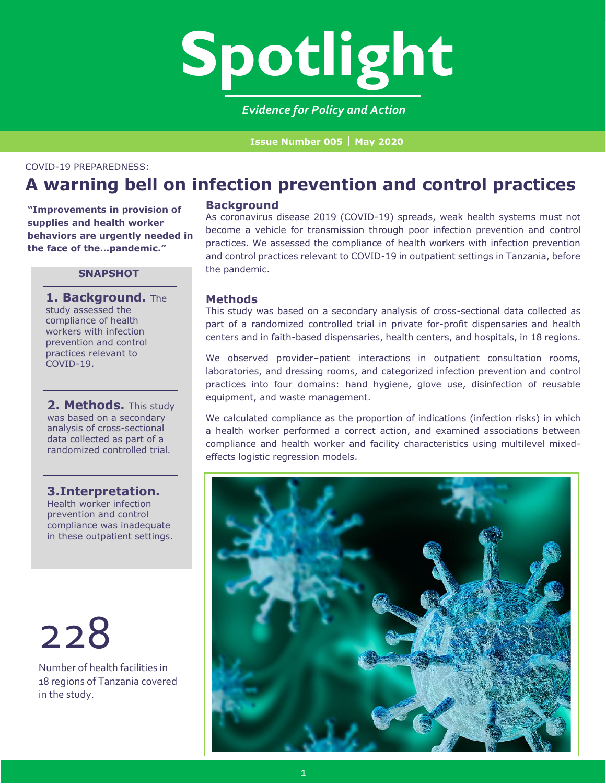

*Evidence for Policy and Action*

**Issue Number 005 | May 2020**

#### COVID-19 PREPAREDNESS:

# **A warning bell on infection prevention and control practices**

**"Improvements in provision of supplies and health worker behaviors are urgently needed in the face of the…pandemic."**

## **SNAPSHOT**

**1. Background.** The study assessed the compliance of health workers with infection prevention and control practices relevant to COVID-19.

**2. Methods.** This study was based on a secondary analysis of cross-sectional data collected as part of a randomized controlled trial.

## **3.Interpretation.**

Health worker infection prevention and control compliance was inadequate in these outpatient settings.

228

Number of health facilities in 18 regions of Tanzania covered in the study.

#### **Background**

As coronavirus disease 2019 (COVID-19) spreads, weak health systems must not become a vehicle for transmission through poor infection prevention and control practices. We assessed the compliance of health workers with infection prevention and control practices relevant to COVID-19 in outpatient settings in Tanzania, before the pandemic.

## **Methods**

This study was based on a secondary analysis of cross-sectional data collected as part of a randomized controlled trial in private for-profit dispensaries and health centers and in faith-based dispensaries, health centers, and hospitals, in 18 regions.

We observed provider–patient interactions in outpatient consultation rooms, laboratories, and dressing rooms, and categorized infection prevention and control practices into four domains: hand hygiene, glove use, disinfection of reusable equipment, and waste management.

We calculated compliance as the proportion of indications (infection risks) in which a health worker performed a correct action, and examined associations between compliance and health worker and facility characteristics using multilevel mixedeffects logistic regression models.